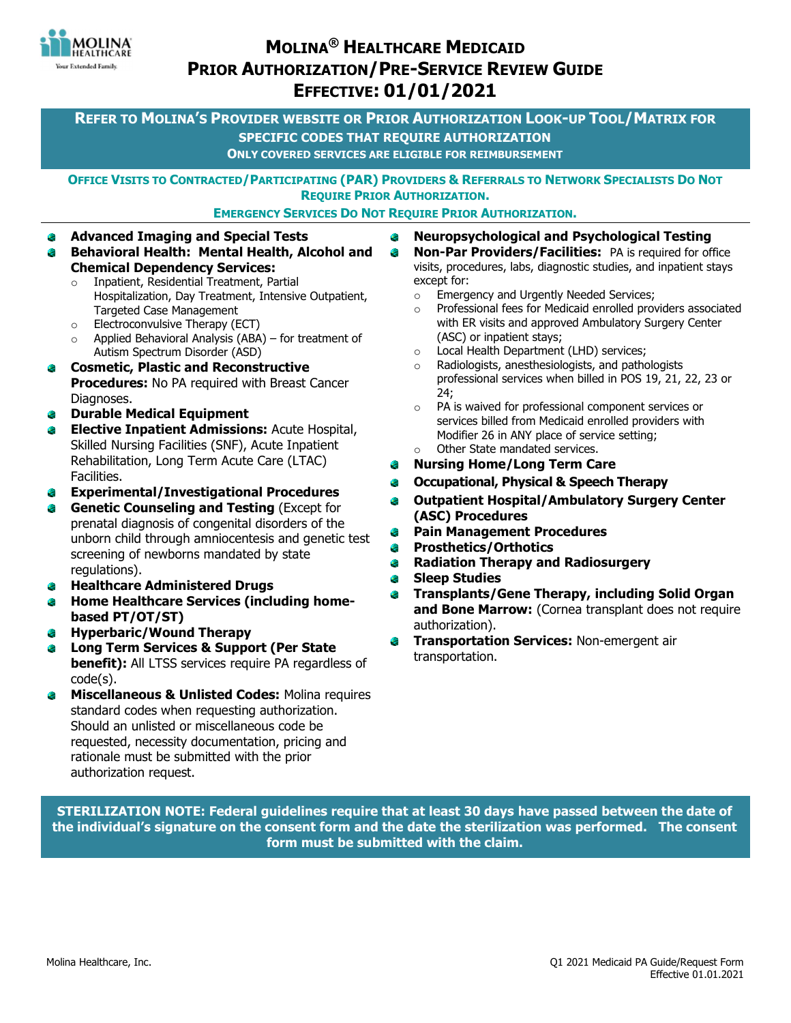

# MOLINA® HEALTHCARE MEDICAID PRIOR AUTHORIZATION/PRE-SERVICE REVIEW GUIDE EFFECTIVE: 01/01/2021

REFER TO MOLINA'S PROVIDER WEBSITE OR PRIOR AUTHORIZATION LOOK-UP TOOL/MATRIX FOR SPECIFIC CODES THAT REQUIRE AUTHORIZATION ONLY COVERED SERVICES ARE ELIGIBLE FOR REIMBURSEMENT

OFFICE VISITS TO CONTRACTED/PARTICIPATING (PAR) PROVIDERS & REFERRALS TO NETWORK SPECIALISTS DO NOT REQUIRE PRIOR AUTHORIZATION.

EMERGENCY SERVICES DO NOT REQUIRE PRIOR AUTHORIZATION.

۰

- Advanced Imaging and Special Tests ٠ Behavioral Health: Mental Health, Alcohol and
	- Chemical Dependency Services: o Inpatient, Residential Treatment, Partial Hospitalization, Day Treatment, Intensive Outpatient, Targeted Case Management
	- o Electroconvulsive Therapy (ECT)
	- $\circ$  Applied Behavioral Analysis (ABA) for treatment of Autism Spectrum Disorder (ASD)
- ۵ Cosmetic, Plastic and Reconstructive **Procedures:** No PA required with Breast Cancer Diagnoses.
- Durable Medical Equipment ۰
- **Elective Inpatient Admissions: Acute Hospital,** ۰ Skilled Nursing Facilities (SNF), Acute Inpatient Rehabilitation, Long Term Acute Care (LTAC) Facilities.
- Experimental/Investigational Procedures ٠
- Genetic Counseling and Testing (Except for prenatal diagnosis of congenital disorders of the unborn child through amniocentesis and genetic test screening of newborns mandated by state regulations).
- Healthcare Administered Drugs
- Home Healthcare Services (including homebased PT/OT/ST)
- Hyperbaric/Wound Therapy  $\bullet$
- Long Term Services & Support (Per State ۵ **benefit):** All LTSS services require PA regardless of code(s).
- Miscellaneous & Unlisted Codes: Molina requires ۰ standard codes when requesting authorization. Should an unlisted or miscellaneous code be requested, necessity documentation, pricing and rationale must be submitted with the prior authorization request.
- Neuropsychological and Psychological Testing €
	- **Non-Par Providers/Facilities:** PA is required for office visits, procedures, labs, diagnostic studies, and inpatient stays except for:
		- o Emergency and Urgently Needed Services;
		- o Professional fees for Medicaid enrolled providers associated with ER visits and approved Ambulatory Surgery Center (ASC) or inpatient stays;
	- o Local Health Department (LHD) services;
	- o Radiologists, anesthesiologists, and pathologists professional services when billed in POS 19, 21, 22, 23 or 24;
	- o PA is waived for professional component services or services billed from Medicaid enrolled providers with Modifier 26 in ANY place of service setting; Other State mandated services.
- Nursing Home/Long Term Care ۰
- Occupational, Physical & Speech Therapy ۰
- Outpatient Hospital/Ambulatory Surgery Center (ASC) Procedures
- $\bullet$ Pain Management Procedures
- Prosthetics/Orthotics  $\bullet$
- Radiation Therapy and Radiosurgery  $\bullet$
- Sleep Studies  $\bullet$
- ٠ Transplants/Gene Therapy, including Solid Organ and Bone Marrow: (Cornea transplant does not require authorization).
- Transportation Services: Non-emergent air transportation.

STERILIZATION NOTE: Federal guidelines require that at least 30 days have passed between the date of the individual's signature on the consent form and the date the sterilization was performed. The consent form must be submitted with the claim.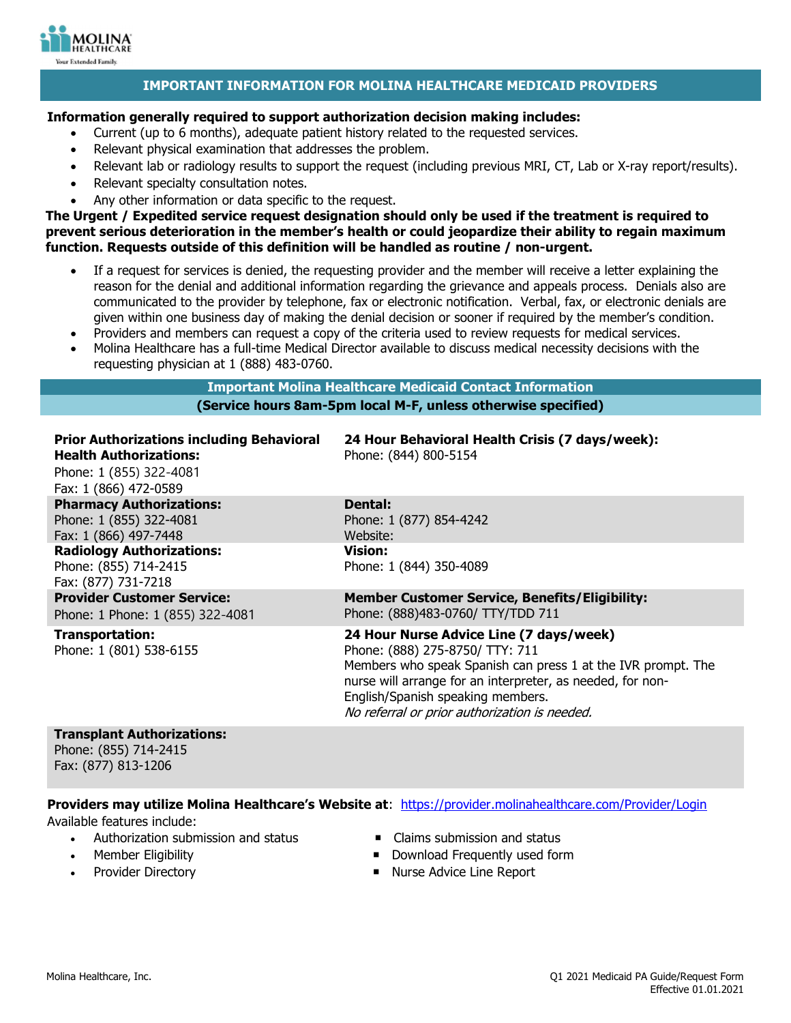

## IMPORTANT INFORMATION FOR MOLINA HEALTHCARE MEDICAID PROVIDERS

### Information generally required to support authorization decision making includes:

- Current (up to 6 months), adequate patient history related to the requested services.
- Relevant physical examination that addresses the problem.
- Relevant lab or radiology results to support the request (including previous MRI, CT, Lab or X-ray report/results).
- Relevant specialty consultation notes.
- Any other information or data specific to the request.

The Urgent / Expedited service request designation should only be used if the treatment is required to prevent serious deterioration in the member's health or could jeopardize their ability to regain maximum function. Requests outside of this definition will be handled as routine / non-urgent.

- If a request for services is denied, the requesting provider and the member will receive a letter explaining the reason for the denial and additional information regarding the grievance and appeals process. Denials also are communicated to the provider by telephone, fax or electronic notification. Verbal, fax, or electronic denials are given within one business day of making the denial decision or sooner if required by the member's condition.
- Providers and members can request a copy of the criteria used to review requests for medical services.
- Molina Healthcare has a full-time Medical Director available to discuss medical necessity decisions with the requesting physician at 1 (888) 483-0760.

## Important Molina Healthcare Medicaid Contact Information (Service hours 8am-5pm local M-F, unless otherwise specified)

| <b>Prior Authorizations including Behavioral</b><br><b>Health Authorizations:</b><br>Phone: 1 (855) 322-4081<br>Fax: 1 (866) 472-0589 | 24 Hour Behavioral Health Crisis (7 days/week):<br>Phone: (844) 800-5154                                                                                                                                                                                                                       |
|---------------------------------------------------------------------------------------------------------------------------------------|------------------------------------------------------------------------------------------------------------------------------------------------------------------------------------------------------------------------------------------------------------------------------------------------|
| <b>Pharmacy Authorizations:</b>                                                                                                       | Dental:                                                                                                                                                                                                                                                                                        |
| Phone: 1 (855) 322-4081<br>Fax: 1 (866) 497-7448                                                                                      | Phone: 1 (877) 854-4242<br>Website:                                                                                                                                                                                                                                                            |
| <b>Radiology Authorizations:</b><br>Phone: (855) 714-2415<br>Fax: (877) 731-7218                                                      | Vision:<br>Phone: 1 (844) 350-4089                                                                                                                                                                                                                                                             |
| <b>Provider Customer Service:</b><br>Phone: 1 Phone: 1 (855) 322-4081                                                                 | <b>Member Customer Service, Benefits/Eligibility:</b><br>Phone: (888)483-0760/ TTY/TDD 711                                                                                                                                                                                                     |
| Transportation:<br>Phone: 1 (801) 538-6155                                                                                            | 24 Hour Nurse Advice Line (7 days/week)<br>Phone: (888) 275-8750/ TTY: 711<br>Members who speak Spanish can press 1 at the IVR prompt. The<br>nurse will arrange for an interpreter, as needed, for non-<br>English/Spanish speaking members.<br>No referral or prior authorization is needed. |

#### Transplant Authorizations:

Phone: (855) 714-2415 Fax: (877) 813-1206

### Providers may utilize Molina Healthcare's Website at: https://provider.molinahealthcare.com/Provider/Login

Available features include:

- Authorization submission and status **Claims** submission and status
- 
- 
- 
- Member Eligibility Download Frequently used form
- Provider Directory **Nurse Advice Line Report**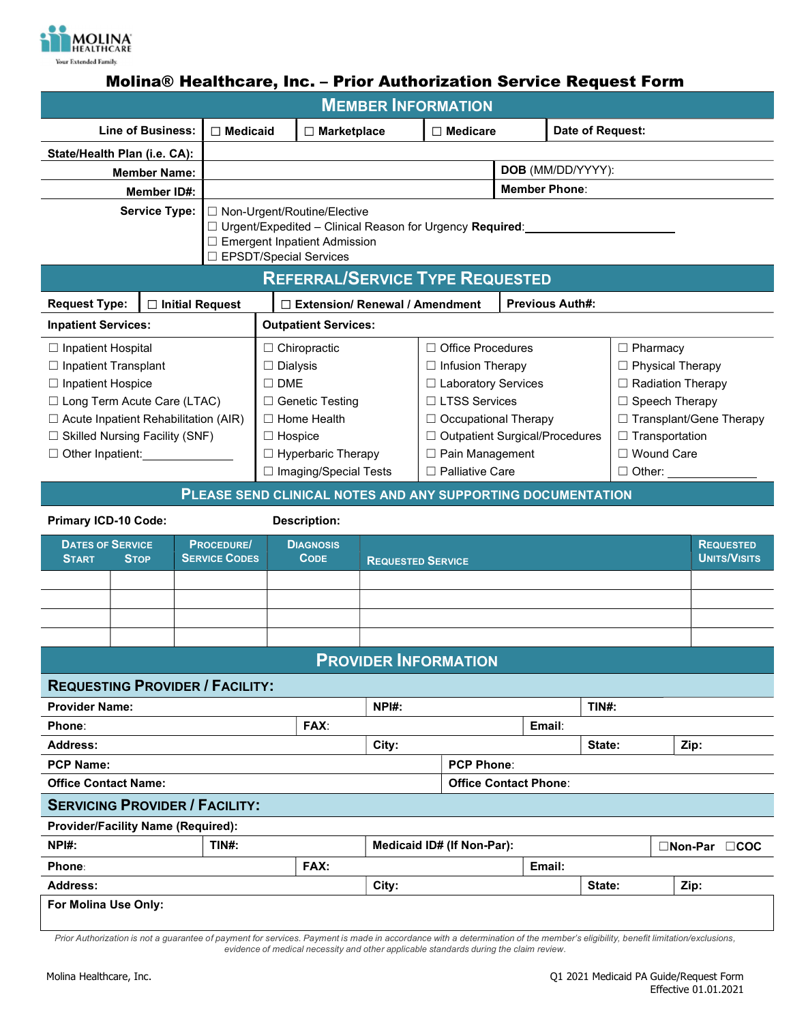

# Molina® Healthcare, Inc. – Prior Authorization Service Request Form

| <b>MEMBER INFORMATION</b>                                   |                      |                      |                                                            |                              |                             |                                  |                            |                  |                          |                |                       |                  |                           |  |  |
|-------------------------------------------------------------|----------------------|----------------------|------------------------------------------------------------|------------------------------|-----------------------------|----------------------------------|----------------------------|------------------|--------------------------|----------------|-----------------------|------------------|---------------------------|--|--|
| <b>Line of Business:</b><br>$\Box$ Medicaid                 |                      |                      | $\Box$ Medicare<br>$\Box$ Marketplace                      |                              |                             |                                  |                            | Date of Request: |                          |                |                       |                  |                           |  |  |
| State/Health Plan (i.e. CA):                                |                      |                      |                                                            |                              |                             |                                  |                            |                  |                          |                |                       |                  |                           |  |  |
|                                                             | <b>Member Name:</b>  |                      |                                                            |                              |                             |                                  | DOB (MM/DD/YYYY):          |                  |                          |                |                       |                  |                           |  |  |
|                                                             | Member ID#:          |                      |                                                            |                              |                             |                                  | <b>Member Phone:</b>       |                  |                          |                |                       |                  |                           |  |  |
|                                                             | <b>Service Type:</b> |                      | $\Box$ Non-Urgent/Routine/Elective                         |                              |                             |                                  |                            |                  |                          |                |                       |                  |                           |  |  |
|                                                             |                      |                      | □ Urgent/Expedited - Clinical Reason for Urgency Required: |                              |                             |                                  |                            |                  |                          |                |                       |                  |                           |  |  |
| □ Emergent Inpatient Admission<br>□ EPSDT/Special Services  |                      |                      |                                                            |                              |                             |                                  |                            |                  |                          |                |                       |                  |                           |  |  |
| <b>REFERRAL/SERVICE TYPE REQUESTED</b>                      |                      |                      |                                                            |                              |                             |                                  |                            |                  |                          |                |                       |                  |                           |  |  |
| <b>Request Type:</b>                                        |                      | □ Initial Request    | $\Box$ Extension/ Renewal / Amendment                      |                              |                             |                                  |                            |                  | <b>Previous Auth#:</b>   |                |                       |                  |                           |  |  |
| <b>Inpatient Services:</b>                                  |                      |                      | <b>Outpatient Services:</b>                                |                              |                             |                                  |                            |                  |                          |                |                       |                  |                           |  |  |
| □ Inpatient Hospital                                        |                      |                      |                                                            | $\Box$ Chiropractic          |                             |                                  | □ Office Procedures        |                  |                          |                |                       | $\Box$ Pharmacy  |                           |  |  |
| $\Box$ Inpatient Transplant                                 |                      |                      | $\Box$ Dialysis                                            |                              |                             | $\Box$ Infusion Therapy          |                            |                  |                          |                | □ Physical Therapy    |                  |                           |  |  |
| □ Inpatient Hospice                                         |                      |                      | $\square$ DME                                              |                              |                             |                                  | □ Laboratory Services      |                  | $\Box$ Radiation Therapy |                |                       |                  |                           |  |  |
| □ Long Term Acute Care (LTAC)                               |                      |                      |                                                            | $\Box$ Genetic Testing       |                             | □ LTSS Services                  |                            |                  |                          |                | □ Speech Therapy      |                  |                           |  |  |
| $\Box$ Acute Inpatient Rehabilitation (AIR)                 |                      |                      |                                                            | $\Box$ Home Health           |                             |                                  | □ Occupational Therapy     |                  |                          |                |                       |                  | □ Transplant/Gene Therapy |  |  |
| $\Box$ Skilled Nursing Facility (SNF)                       |                      |                      |                                                            | $\Box$ Hospice               |                             | □ Outpatient Surgical/Procedures |                            |                  |                          |                | $\Box$ Transportation |                  |                           |  |  |
|                                                             |                      |                      | $\Box$ Hyperbaric Therapy                                  |                              | $\Box$ Pain Management      |                                  |                            |                  |                          | □ Wound Care   |                       |                  |                           |  |  |
|                                                             |                      |                      | □ Imaging/Special Tests                                    |                              |                             |                                  | $\Box$ Palliative Care     |                  |                          |                |                       | $\Box$ Other:    |                           |  |  |
| PLEASE SEND CLINICAL NOTES AND ANY SUPPORTING DOCUMENTATION |                      |                      |                                                            |                              |                             |                                  |                            |                  |                          |                |                       |                  |                           |  |  |
| <b>Primary ICD-10 Code:</b>                                 |                      |                      |                                                            | <b>Description:</b>          |                             |                                  |                            |                  |                          |                |                       |                  |                           |  |  |
| <b>DATES OF SERVICE</b>                                     | <b>PROCEDURE/</b>    | <b>DIAGNOSIS</b>     |                                                            |                              |                             |                                  |                            |                  |                          |                |                       | <b>REQUESTED</b> |                           |  |  |
| <b>START</b><br><b>STOP</b>                                 |                      | <b>SERVICE CODES</b> |                                                            | <b>CODE</b>                  | <b>REQUESTED SERVICE</b>    |                                  |                            |                  |                          |                |                       |                  | <b>UNITS/VISITS</b>       |  |  |
|                                                             |                      |                      |                                                            |                              |                             |                                  |                            |                  |                          |                |                       |                  |                           |  |  |
|                                                             |                      |                      |                                                            |                              |                             |                                  |                            |                  |                          |                |                       |                  |                           |  |  |
|                                                             |                      |                      |                                                            |                              |                             |                                  |                            |                  |                          |                |                       |                  |                           |  |  |
|                                                             |                      |                      |                                                            |                              |                             |                                  |                            |                  |                          |                |                       |                  |                           |  |  |
|                                                             |                      |                      |                                                            |                              | <b>PROVIDER INFORMATION</b> |                                  |                            |                  |                          |                |                       |                  |                           |  |  |
| <b>REQUESTING PROVIDER / FACILITY:</b>                      |                      |                      |                                                            |                              |                             |                                  |                            |                  |                          |                |                       |                  |                           |  |  |
| <b>Provider Name:</b>                                       |                      |                      |                                                            |                              | NPH:                        |                                  |                            |                  |                          | <b>TIN#:</b>   |                       |                  |                           |  |  |
| Phone:                                                      |                      |                      |                                                            | FAX:                         |                             |                                  |                            |                  | Email:                   |                |                       |                  |                           |  |  |
| Address:                                                    |                      |                      |                                                            |                              | City:                       |                                  |                            |                  |                          | Zip:<br>State: |                       |                  |                           |  |  |
| <b>PCP Name:</b>                                            |                      |                      |                                                            |                              |                             | <b>PCP Phone:</b>                |                            |                  |                          |                |                       |                  |                           |  |  |
| <b>Office Contact Name:</b>                                 |                      |                      |                                                            | <b>Office Contact Phone:</b> |                             |                                  |                            |                  |                          |                |                       |                  |                           |  |  |
| <b>SERVICING PROVIDER / FACILITY:</b>                       |                      |                      |                                                            |                              |                             |                                  |                            |                  |                          |                |                       |                  |                           |  |  |
| <b>Provider/Facility Name (Required):</b>                   |                      |                      |                                                            |                              |                             |                                  |                            |                  |                          |                |                       |                  |                           |  |  |
| NPI#:                                                       |                      | TIN#:                |                                                            |                              |                             |                                  | Medicaid ID# (If Non-Par): |                  |                          |                |                       |                  | $\Box$ Non-Par $\Box$ COC |  |  |
| <b>Phone:</b>                                               |                      |                      |                                                            | FAX:                         |                             |                                  |                            |                  | Email:                   |                |                       |                  |                           |  |  |
| <b>Address:</b>                                             |                      |                      |                                                            |                              | City:                       | State:                           |                            |                  |                          |                | Zip:                  |                  |                           |  |  |
| For Molina Use Only:                                        |                      |                      |                                                            |                              |                             |                                  |                            |                  |                          |                |                       |                  |                           |  |  |

Prior Authorization is not a guarantee of payment for services. Payment is made in accordance with a determination of the member's eligibility, benefit limitation/exclusions, evidence of medical necessity and other applicable standards during the claim review.